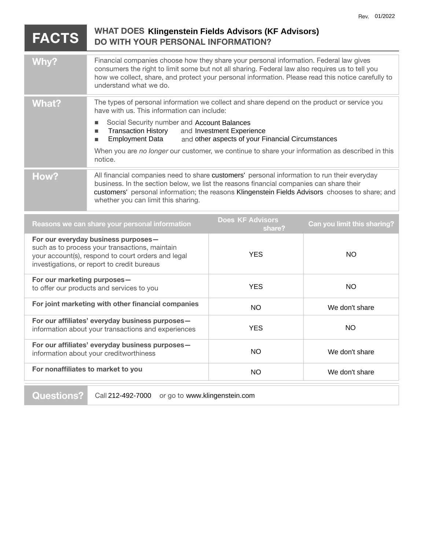| <b>FACTS</b>                                                                                                                                                                               | <b>WHAT DOES Klingenstein Fields Advisors (KF Advisors)</b><br><b>DO WITH YOUR PERSONAL INFORMATION?</b>                                                                                                                                                                                                                                                                                                                                                    |            |           |
|--------------------------------------------------------------------------------------------------------------------------------------------------------------------------------------------|-------------------------------------------------------------------------------------------------------------------------------------------------------------------------------------------------------------------------------------------------------------------------------------------------------------------------------------------------------------------------------------------------------------------------------------------------------------|------------|-----------|
| Why?                                                                                                                                                                                       | Financial companies choose how they share your personal information. Federal law gives<br>consumers the right to limit some but not all sharing. Federal law also requires us to tell you<br>how we collect, share, and protect your personal information. Please read this notice carefully to<br>understand what we do.                                                                                                                                   |            |           |
| <b>What?</b>                                                                                                                                                                               | The types of personal information we collect and share depend on the product or service you<br>have with us. This information can include:<br>Social Security number and Account Balances<br><b>Transaction History</b><br>and Investment Experience<br>п<br><b>Employment Data</b><br>and other aspects of your Financial Circumstances<br>п<br>When you are no longer our customer, we continue to share your information as described in this<br>notice. |            |           |
| How?                                                                                                                                                                                       | All financial companies need to share customers' personal information to run their everyday<br>business. In the section below, we list the reasons financial companies can share their<br>customers' personal information; the reasons Klingenstein Fields Advisors chooses to share; and<br>whether you can limit this sharing.                                                                                                                            |            |           |
| <b>Does KF Advisors</b><br>Can you limit this sharing?<br>Reasons we can share your personal information<br>share?                                                                         |                                                                                                                                                                                                                                                                                                                                                                                                                                                             |            |           |
| For our everyday business purposes-<br>such as to process your transactions, maintain<br>your account(s), respond to court orders and legal<br>investigations, or report to credit bureaus |                                                                                                                                                                                                                                                                                                                                                                                                                                                             | <b>YES</b> | <b>NO</b> |
| For our marketing purposes-<br>to offer our products and services to you                                                                                                                   |                                                                                                                                                                                                                                                                                                                                                                                                                                                             | <b>YES</b> | <b>NO</b> |
| For joint marketing with other financial companies                                                                                                                                         |                                                                                                                                                                                                                                                                                                                                                                                                                                                             | $\sim$     | $M = -1$  |

| For joint marketing with other financial companies                                                     | NO.        | We don't share |
|--------------------------------------------------------------------------------------------------------|------------|----------------|
| For our affiliates' everyday business purposes-<br>information about your transactions and experiences | <b>YES</b> | NO.            |
| For our affiliates' everyday business purposes-<br>information about your creditworthiness             | NO.        | We don't share |
| For nonaffiliates to market to you                                                                     | NO.        | We don't share |
|                                                                                                        |            |                |

**Questions?** Call 212-492-7000 or go to www.klingenstein.com